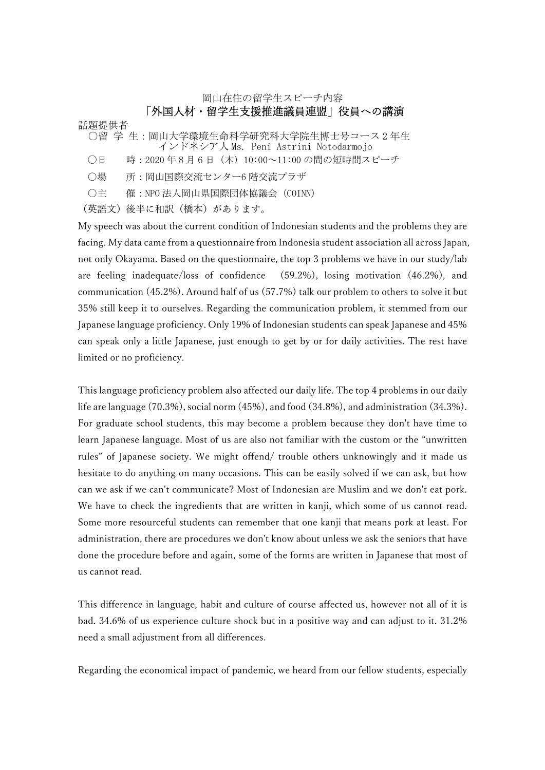岡山在住の留学生スピーチ内容

## 「外国人材・留学生支援推進議員連盟」役員への講演

話題提供者 ○留 学 生:岡山大学環境生命科学研究科大学院生博士号コース2年生 インドネシア人 Ms. Peni Astrini Notodarmojo

- ○日 時: 2020年8月6日 (木) 10:00~11:00 の間の短時間スピーチ
- 〇場 所:岡山国際交流センター6 階交流プラザ
- 〇主 催:NPO 法人岡山県国際団体協議会(COINN)

(英語文)後半に和訳(橋本)があります。

My speech was about the current condition of Indonesian students and the problems they are facing. My data came from a questionnaire from Indonesia student association all across Japan, not only Okayama. Based on the questionnaire, the top 3 problems we have in our study/lab are feeling inadequate/loss of confidence (59.2%), losing motivation (46.2%), and communication (45.2%). Around half of us (57.7%) talk our problem to others to solve it but 35% still keep it to ourselves. Regarding the communication problem, it stemmed from our Japanese language proficiency. Only 19% of Indonesian students can speak Japanese and 45% can speak only a little Japanese, just enough to get by or for daily activities. The rest have limited or no proficiency.

This language proficiency problem also affected our daily life. The top 4 problems in our daily life are language (70.3%), social norm (45%), and food (34.8%), and administration (34.3%). For graduate school students, this may become a problem because they don't have time to learn Japanese language. Most of us are also not familiar with the custom or the "unwritten rules" of Japanese society. We might offend/ trouble others unknowingly and it made us hesitate to do anything on many occasions. This can be easily solved if we can ask, but how can we ask if we can't communicate? Most of Indonesian are Muslim and we don't eat pork. We have to check the ingredients that are written in kanji, which some of us cannot read. Some more resourceful students can remember that one kanji that means pork at least. For administration, there are procedures we don't know about unless we ask the seniors that have done the procedure before and again, some of the forms are written in Japanese that most of us cannot read.

This difference in language, habit and culture of course affected us, however not all of it is bad. 34.6% of us experience culture shock but in a positive way and can adjust to it. 31.2% need a small adjustment from all differences.

Regarding the economical impact of pandemic, we heard from our fellow students, especially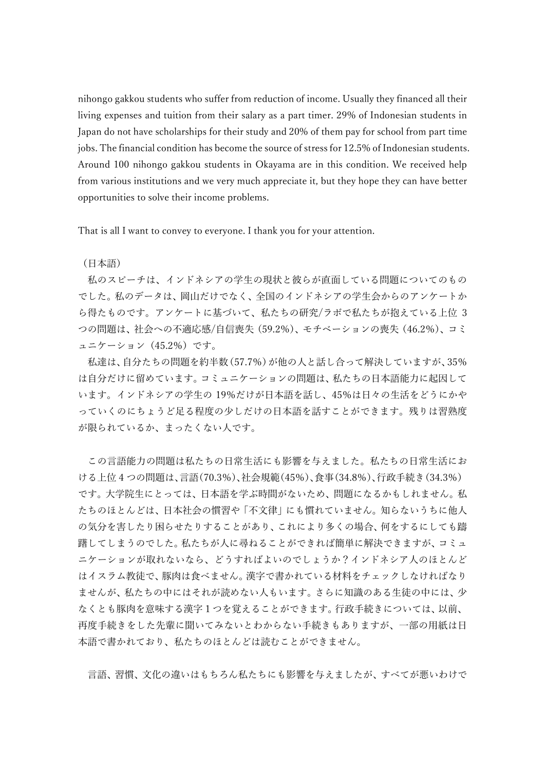nihongo gakkou students who suffer from reduction of income. Usually they financed all their living expenses and tuition from their salary as a part timer. 29% of Indonesian students in Japan do not have scholarships for their study and 20% of them pay for school from part time jobs. The financial condition has become the source of stress for 12.5% of Indonesian students. Around 100 nihongo gakkou students in Okayama are in this condition. We received help from various institutions and we very much appreciate it, but they hope they can have better opportunities to solve their income problems.

That is all I want to convey to everyone. I thank you for your attention.

(日本語)

私のスピーチは、インドネシアの学生の現状と彼らが直面している問題についてのもの でした。私のデータは、岡山だけでなく、全国のインドネシアの学生会からのアンケートか ら得たものです。アンケートに基づいて、私たちの研究/ラボで私たちが抱えている上位 3 つの問題は、社会への不適応感/自信喪失(59.2%)、モチベーションの喪失(46.2%)、コミ ュニケーション(45.2%)です。

私達は、自分たちの問題を約半数(57.7%)が他の人と話し合って解決していますが、35% は自分だけに留めています。コミュニケーションの問題は、私たちの日本語能力に起因して います。インドネシアの学生の 19%だけが日本語を話し、45%は日々の生活をどうにかや っていくのにちょうど足る程度の少しだけの日本語を話すことができます。残りは習熟度 が限られているか、まったくない人です。

この言語能力の問題は私たちの日常生活にも影響を与えました。私たちの日常生活にお ける上位 4 つの問題は、言語(70.3%)、社会規範(45%)、食事(34.8%)、行政手続き(34.3%) です。大学院生にとっては、日本語を学ぶ時間がないため、問題になるかもしれません。私 たちのほとんどは、日本社会の慣習や「不文律」にも慣れていません。知らないうちに他人 の気分を害したり困らせたりすることがあり、これにより多くの場合、何をするにしても躊 躇してしまうのでした。私たちが人に尋ねることができれば簡単に解決できますが、コミュ ニケーションが取れないなら、どうすればよいのでしょうか?インドネシア人のほとんど はイスラム教徒で、豚肉は食べません。漢字で書かれている材料をチェックしなければなり ませんが、私たちの中にはそれが読めない人もいます。さらに知識のある生徒の中には、少 なくとも豚肉を意味する漢字1つを覚えることができます。行政手続きについては、以前、 再度手続きをした先輩に聞いてみないとわからない手続きもありますが、一部の用紙は日 本語で書かれており、私たちのほとんどは読むことができません。

言語、習慣、文化の違いはもちろん私たちにも影響を与えましたが、すべてが悪いわけで